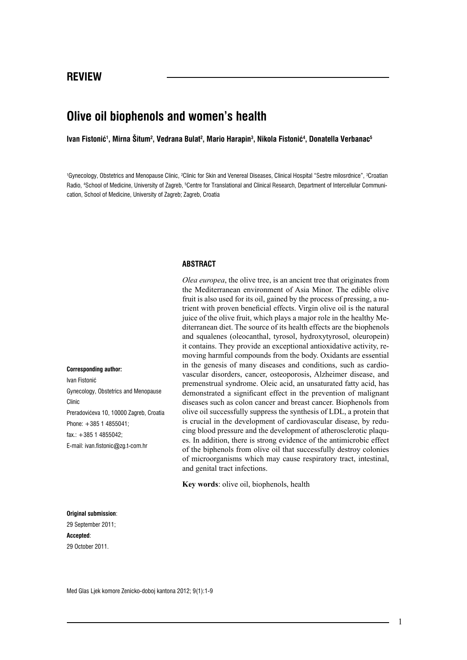## **Olive oil biophenols and women's health**

**Ivan Fistonić<sup>1</sup> , Mirna Šitum<sup>2</sup> , Vedrana Bulat<sup>2</sup> , Mario Harapin<sup>3</sup> , Nikola Fistonić<sup>4</sup> , Donatella Verbanac<sup>5</sup>**

<sup>1</sup>Gynecology, Obstetrics and Menopause Clinic, <sup>2</sup>Clinic for Skin and Venereal Diseases, Clinical Hospital "Sestre milosrdnice", <sup>3</sup>Croatian Radio, <sup>4</sup>School of Medicine, University of Zagreb, <sup>5</sup>Centre for Translational and Clinical Research, Department of Intercellular Communication, School of Medicine, University of Zagreb; Zagreb, Croatia

#### **ABSTRACT**

*Olea europea*, the olive tree, is an ancient tree that originates from the Mediterranean environment of Asia Minor. The edible olive fruit is also used for its oil, gained by the process of pressing, a nutrient with proven beneficial effects. Virgin olive oil is the natural juice of the olive fruit, which plays a major role in the healthy Mediterranean diet. The source of its health effects are the biophenols and squalenes (oleocanthal, tyrosol, hydroxytyrosol, oleuropein) it contains. They provide an exceptional antioxidative activity, removing harmful compounds from the body. Oxidants are essential in the genesis of many diseases and conditions, such as cardiovascular disorders, cancer, osteoporosis, Alzheimer disease, and premenstrual syndrome. Oleic acid, an unsaturated fatty acid, has demonstrated a significant effect in the prevention of malignant diseases such as colon cancer and breast cancer. Biophenols from olive oil successfully suppress the synthesis of LDL, a protein that is crucial in the development of cardiovascular disease, by reducing blood pressure and the development of atherosclerotic plaques. In addition, there is strong evidence of the antimicrobic effect of the biphenols from olive oil that successfully destroy colonies of microorganisms which may cause respiratory tract, intestinal, and genital tract infections.

**Key words**: olive oil, biophenols, health

**Original submission**: 29 September 2011; **Accepted**: 29 October 2011.

**Corresponding author:**

Phone: +385 1 4855041; fax.: +385 1 4855042;

E-mail: ivan.fistonic@zg.t-com.hr

Gynecology, Obstetrics and Menopause

Preradovićeva 10, 10000 Zagreb, Croatia

Ivan Fistonić

Clinic

Med Glas Ljek komore Zenicko-doboj kantona 2012; 9(1):1-9

1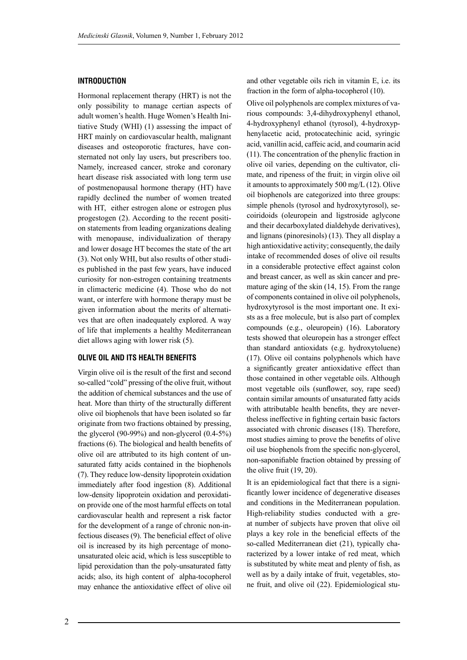#### **INTRODUCTION**

Hormonal replacement therapy (HRT) is not the only possibility to manage certian aspects of adult women's health. Huge Women's Health Initiative Study (WHI) (1) assessing the impact of HRT mainly on cardiovascular health, malignant diseases and osteoporotic fractures, have consternated not only lay users, but prescribers too. Namely, increased cancer, stroke and coronary heart disease risk associated with long term use of postmenopausal hormone therapy (HT) have rapidly declined the number of women treated with HT, either estrogen alone or estrogen plus progestogen (2). According to the recent position statements from leading organizations dealing with menopause, individualization of therapy and lower dosage HT becomes the state of the art (3). Not only WHI, but also results of other studies published in the past few years, have induced curiosity for non-estrogen containing treatments in climacteric medicine (4). Those who do not want, or interfere with hormone therapy must be given information about the merits of alternatives that are often inadequately explored. A way of life that implements a healthy Mediterranean diet allows aging with lower risk (5).

#### **OLIVE OIL AND ITS HEALTH BENEFITS**

Virgin olive oil is the result of the first and second so-called "cold" pressing of the olive fruit, without the addition of chemical substances and the use of heat. More than thirty of the structurally different olive oil biophenols that have been isolated so far originate from two fractions obtained by pressing, the glycerol  $(90-99%)$  and non-glycerol  $(0.4-5%)$ fractions (6). The biological and health benefits of olive oil are attributed to its high content of unsaturated fatty acids contained in the biophenols (7). They reduce low-density lipoprotein oxidation immediately after food ingestion (8). Additional low-density lipoprotein oxidation and peroxidation provide one of the most harmful effects on total cardiovascular health and represent a risk factor for the development of a range of chronic non-infectious diseases (9). The beneficial effect of olive oil is increased by its high percentage of monounsaturated oleic acid, which is less susceptible to lipid peroxidation than the poly-unsaturated fatty acids; also, its high content of alpha-tocopherol may enhance the antioxidative effect of olive oil

and other vegetable oils rich in vitamin E, i.e. its fraction in the form of alpha-tocopherol (10).

Olive oil polyphenols are complex mixtures of various compounds: 3,4-dihydroxyphenyl ethanol, 4-hydroxyphenyl ethanol (tyrosol), 4-hydroxyphenylacetic acid, protocatechinic acid, syringic acid, vanillin acid, caffeic acid, and coumarin acid (11). The concentration of the phenylic fraction in olive oil varies, depending on the cultivator, climate, and ripeness of the fruit; in virgin olive oil it amounts to approximately 500 mg/L (12). Olive oil biophenols are categorized into three groups: simple phenols (tyrosol and hydroxytyrosol), secoiridoids (oleuropein and ligstroside aglycone and their decarboxylated dialdehyde derivatives), and lignans (pinoresinols) (13). They all display a high antioxidative activity; consequently, the daily intake of recommended doses of olive oil results in a considerable protective effect against colon and breast cancer, as well as skin cancer and premature aging of the skin (14, 15). From the range of components contained in olive oil polyphenols, hydroxytyrosol is the most important one. It exists as a free molecule, but is also part of complex compounds (e.g., oleuropein) (16). Laboratory tests showed that oleuropein has a stronger effect than standard antioxidats (e.g. hydroxytoluene) (17). Olive oil contains polyphenols which have a significantly greater antioxidative effect than those contained in other vegetable oils. Although most vegetable oils (sunflower, soy, rape seed) contain similar amounts of unsaturated fatty acids with attributable health benefits, they are nevertheless ineffective in fighting certain basic factors associated with chronic diseases (18). Therefore, most studies aiming to prove the benefits of olive oil use biophenols from the specific non-glycerol, non-saponifiable fraction obtained by pressing of the olive fruit (19, 20).

It is an epidemiological fact that there is a significantly lower incidence of degenerative diseases and conditions in the Mediterranean population. High-reliability studies conducted with a great number of subjects have proven that olive oil plays a key role in the beneficial effects of the so-called Mediterranean diet (21), typically characterized by a lower intake of red meat, which is substituted by white meat and plenty of fish, as well as by a daily intake of fruit, vegetables, stone fruit, and olive oil (22). Epidemiological stu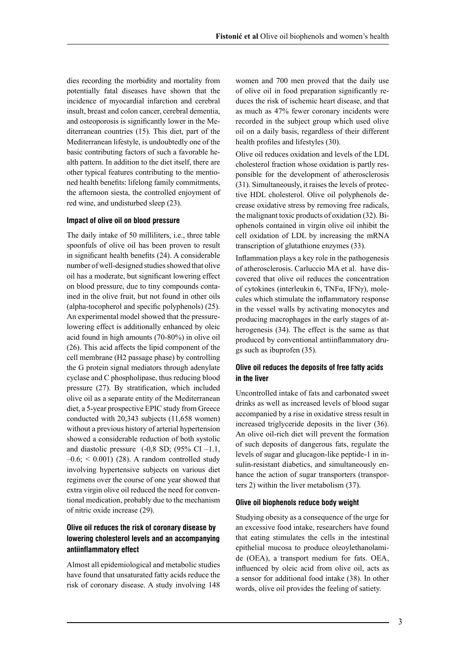dies recording the morbidity and mortality from potentially fatal diseases have shown that the incidence of myocardial infarction and cerebral insult, breast and colon cancer, cerebral dementia, and osteoporosis is significantly lower in the Mediterranean countries (15). This diet, part of the Mediterranean lifestyle, is undoubtedly one of the basic contributing factors of such a favorable health pattern. In addition to the diet itself, there are other typical features contributing to the mentioned health benefits: lifelong family commitments, the afternoon siesta, the controlled enjoyment of red wine, and undisturbed sleep (23).

#### **Impact of olive oil on blood pressure**

The daily intake of 50 milliliters, i.e., three table spoonfuls of olive oil has been proven to result in significant health benefits (24). A considerable number of well-designed studies showed that olive oil has a moderate, but significant lowering effect on blood pressure, due to tiny compounds contained in the olive fruit, but not found in other oils (alpha-tocopherol and specific polyphenols) (25). An experimental model showed that the pressurelowering effect is additionally enhanced by oleic acid found in high amounts (70-80%) in olive oil (26). This acid affects the lipid component of the cell membrane (H2 passage phase) by controlling the G protein signal mediators through adenylate cyclase and C phospholipase, thus reducing blood pressure (27). By stratification, which included olive oil as a separate entity of the Mediterranean diet, a 5-year prospective EPIC study from Greece conducted with 20,343 subjects (11,658 women) without a previous history of arterial hypertension showed a considerable reduction of both systolic and diastolic pressure  $(-0.8 S D; (95\% CI -1.1,$  $-0.6$ ;  $\leq 0.001$ ) (28). A random controlled study involving hypertensive subjects on various diet regimens over the course of one year showed that extra virgin olive oil reduced the need for conventional medication, probably due to the mechanism of nitric oxide increase (29).

## **Olive oil reduces the risk of coronary disease by lowering cholesterol levels and an accompanying antiinflammatory effect**

Almost all epidemiological and metabolic studies have found that unsaturated fatty acids reduce the risk of coronary disease. A study involving 148

women and 700 men proved that the daily use of olive oil in food preparation significantly reduces the risk of ischemic heart disease, and that as much as 47% fewer coronary incidents were recorded in the subject group which used olive oil on a daily basis, regardless of their different health profiles and lifestyles (30).

Olive oil reduces oxidation and levels of the LDL cholesterol fraction whose oxidation is partly responsible for the development of atherosclerosis (31). Simultaneously, it raises the levels of protective HDL cholesterol. Olive oil polyphenols decrease oxidative stress by removing free radicals, the malignant toxic products of oxidation (32). Biophenols contained in virgin olive oil inhibit the cell oxidation of LDL by increasing the mRNA transcription of glutathione enzymes (33).

Inflammation plays a key role in the pathogenesis of atherosclerosis. Carluccio MA et al. have discovered that olive oil reduces the concentration of cytokines (interleukin 6, TNFα, IFNγ), molecules which stimulate the inflammatory response in the vessel walls by activating monocytes and producing macrophages in the early stages of atherogenesis (34). The effect is the same as that produced by conventional antiinflammatory drugs such as ibuprofen (35).

## **Olive oil reduces the deposits of free fatty acids in the liver**

Uncontrolled intake of fats and carbonated sweet drinks as well as increased levels of blood sugar accompanied by a rise in oxidative stress result in increased triglyceride deposits in the liver (36). An olive oil-rich diet will prevent the formation of such deposits of dangerous fats, regulate the levels of sugar and glucagon-like peptide-1 in insulin-resistant diabetics, and simultaneously enhance the action of sugar transporters (transporters 2) within the liver metabolism (37).

#### **Olive oil biophenols reduce body weight**

Studying obesity as a consequence of the urge for an excessive food intake, researchers have found that eating stimulates the cells in the intestinal epithelial mucosa to produce oleoylethanolamide (OEA), a transport medium for fats. OEA, influenced by oleic acid from olive oil, acts as a sensor for additional food intake (38). In other words, olive oil provides the feeling of satiety.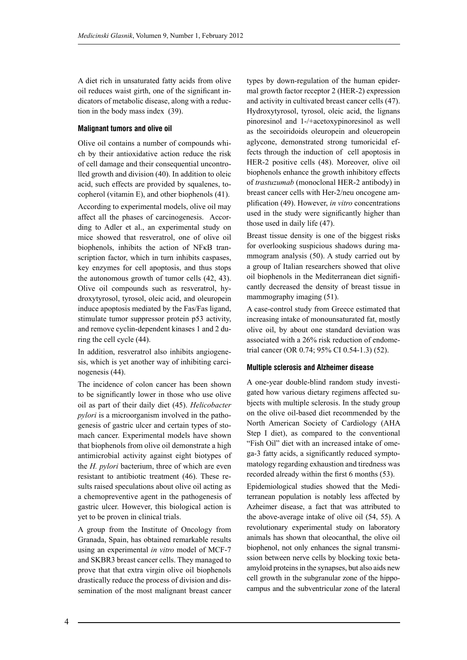A diet rich in unsaturated fatty acids from olive oil reduces waist girth, one of the significant indicators of metabolic disease, along with a reduction in the body mass index (39).

#### **Malignant tumors and olive oil**

Olive oil contains a number of compounds which by their antioxidative action reduce the risk of cell damage and their consequential uncontrolled growth and division (40). In addition to oleic acid, such effects are provided by squalenes, tocopherol (vitamin E), and other biophenols (41). According to experimental models, olive oil may affect all the phases of carcinogenesis. According to Adler et al., an experimental study on mice showed that resveratrol, one of olive oil biophenols, inhibits the action of NFKB transcription factor, which in turn inhibits caspases, key enzymes for cell apoptosis, and thus stops the autonomous growth of tumor cells (42, 43). Olive oil compounds such as resveratrol, hydroxytyrosol, tyrosol, oleic acid, and oleuropein induce apoptosis mediated by the Fas/Fas ligand, stimulate tumor suppressor protein p53 activity, and remove cyclin-dependent kinases 1 and 2 during the cell cycle (44).

In addition, resveratrol also inhibits angiogenesis, which is yet another way of inhibiting carcinogenesis (44).

The incidence of colon cancer has been shown to be significantly lower in those who use olive oil as part of their daily diet (45). *Helicobacter pylori* is a microorganism involved in the pathogenesis of gastric ulcer and certain types of stomach cancer. Experimental models have shown that biophenols from olive oil demonstrate a high antimicrobial activity against eight biotypes of the *H. pylori* bacterium, three of which are even resistant to antibiotic treatment (46). These results raised speculations about olive oil acting as a chemopreventive agent in the pathogenesis of gastric ulcer. However, this biological action is yet to be proven in clinical trials.

A group from the Institute of Oncology from Granada, Spain, has obtained remarkable results using an experimental *in vitro* model of MCF-7 and SKBR3 breast cancer cells. They managed to prove that that extra virgin olive oil biophenols drastically reduce the process of division and dissemination of the most malignant breast cancer types by down-regulation of the human epidermal growth factor receptor 2 (HER-2) expression and activity in cultivated breast cancer cells (47). Hydroxytyrosol, tyrosol, oleic acid, the lignans pinoresinol and 1-/+acetoxypinoresinol as well as the secoiridoids oleuropein and oleueropein aglycone, demonstrated strong tumoricidal effects through the induction of cell apoptosis in HER-2 positive cells (48). Moreover, olive oil biophenols enhance the growth inhibitory effects of *trastuzumab* (monoclonal HER-2 antibody) in breast cancer cells with Her-2/neu oncogene amplification (49). However, *in vitro* concentrations used in the study were significantly higher than those used in daily life (47).

Breast tissue density is one of the biggest risks for overlooking suspicious shadows during mammogram analysis (50). A study carried out by a group of Italian researchers showed that olive oil biophenols in the Mediterranean diet significantly decreased the density of breast tissue in mammography imaging (51).

A case-control study from Greece estimated that increasing intake of monounsaturated fat, mostly olive oil, by about one standard deviation was associated with a 26% risk reduction of endometrial cancer (OR 0.74; 95% CI 0.54-1.3) (52).

#### **Multiple sclerosis and Alzheimer disease**

A one-year double-blind random study investigated how various dietary regimens affected subjects with multiple sclerosis. In the study group on the olive oil-based diet recommended by the North American Society of Cardiology (AHA Step I diet), as compared to the conventional "Fish Oil" diet with an increased intake of omega-3 fatty acids, a significantly reduced symptomatology regarding exhaustion and tiredness was recorded already within the first 6 months (53).

Epidemiological studies showed that the Mediterranean population is notably less affected by Azheimer disease, a fact that was attributed to the above-average intake of olive oil (54, 55). A revolutionary experimental study on laboratory animals has shown that oleocanthal, the olive oil biophenol, not only enhances the signal transmission between nerve cells by blocking toxic betaamyloid proteins in the synapses, but also aids new cell growth in the subgranular zone of the hippocampus and the subventricular zone of the lateral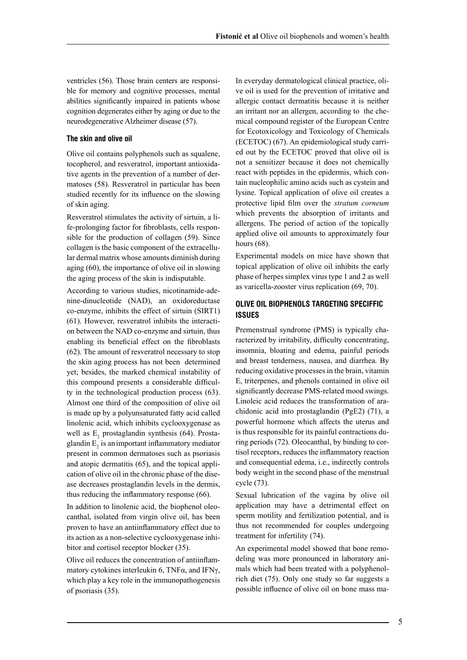ventricles (56). Those brain centers are responsible for memory and cognitive processes, mental abilities significantly impaired in patients whose cognition degenerates either by aging or due to the neurodegenerative Alzheimer disease (57).

#### **The skin and olive oil**

Olive oil contains polyphenols such as squalene, tocopherol, and resveratrol, important antioxidative agents in the prevention of a number of dermatoses (58). Resveratrol in particular has been studied recently for its influence on the slowing of skin aging.

Resveratrol stimulates the activity of sirtuin, a life-prolonging factor for fibroblasts, cells responsible for the production of collagen (59). Since collagen is the basic component of the extracellular dermal matrix whose amounts diminish during aging (60), the importance of olive oil in slowing the aging process of the skin is indisputable.

According to various studies, nicotinamide-adenine-dinucleotide (NAD), an oxidoreductase co-enzyme, inhibits the effect of sirtuin (SIRT1) (61). However, resveratrol inhibits the interaction between the NAD co-enzyme and sirtuin, thus enabling its beneficial effect on the fibroblasts (62). The amount of resveratrol necessary to stop the skin aging process has not been determined yet; besides, the marked chemical instability of this compound presents a considerable difficulty in the technological production process (63). Almost one third of the composition of olive oil is made up by a polyunsaturated fatty acid called linolenic acid, which inhibits cyclooxygenase as well as  $E_2$  prostaglandin synthesis (64). Prostaglandin  $E<sub>2</sub>$  is an important inflammatory mediator present in common dermatoses such as psoriasis and atopic dermatitis (65), and the topical application of olive oil in the chronic phase of the disease decreases prostaglandin levels in the dermis, thus reducing the inflammatory response (66).

In addition to linolenic acid, the biophenol oleocanthal, isolated from virgin olive oil, has been proven to have an antiinflammatory effect due to its action as a non-selective cyclooxygenase inhibitor and cortisol receptor blocker (35).

Olive oil reduces the concentration of antiinflammatory cytokines interleukin 6, TNFα, and IFNγ, which play a key role in the immunopathogenesis of psoriasis (35).

In everyday dermatological clinical practice, olive oil is used for the prevention of irritative and allergic contact dermatitis because it is neither an irritant nor an allergen, according to the chemical compound register of the European Centre for Ecotoxicology and Toxicology of Chemicals (ECETOC) (67). An epidemiological study carried out by the ECETOC proved that olive oil is not a sensitizer because it does not chemically react with peptides in the epidermis, which contain nucleophilic amino acids such as cystein and lysine. Topical application of olive oil creates a protective lipid film over the *stratum corneum*  which prevents the absorption of irritants and allergens. The period of action of the topically applied olive oil amounts to approximately four hours (68).

Experimental models on mice have shown that topical application of olive oil inhibits the early phase of herpes simplex virus type 1 and 2 as well as varicella-zooster virus replication (69, 70).

## **OLIVE OIL BIOPHENOLS TARGETING SPECIFFIC ISSUES**

Premenstrual syndrome (PMS) is typically characterized by irritability, difficulty concentrating, insomnia, bloating and edema, painful periods and breast tenderness, nausea, and diarrhea. By reducing oxidative processes in the brain, vitamin E, triterpenes, and phenols contained in olive oil significantly decrease PMS-related mood swings. Linoleic acid reduces the transformation of arachidonic acid into prostaglandin (PgE2) (71), a powerful hormone which affects the uterus and is thus responsible for its painful contractions during periods (72). Oleocanthal, by binding to cortisol receptors, reduces the inflammatory reaction and consequential edema, i.e., indirectly controls body weight in the second phase of the menstrual cycle (73).

Sexual lubrication of the vagina by olive oil application may have a detrimental effect on sperm motility and fertilization potential, and is thus not recommended for couples undergoing treatment for infertility (74).

An experimental model showed that bone remodeling was more pronounced in laboratory animals which had been treated with a polyphenolrich diet (75). Only one study so far suggests a possible influence of olive oil on bone mass ma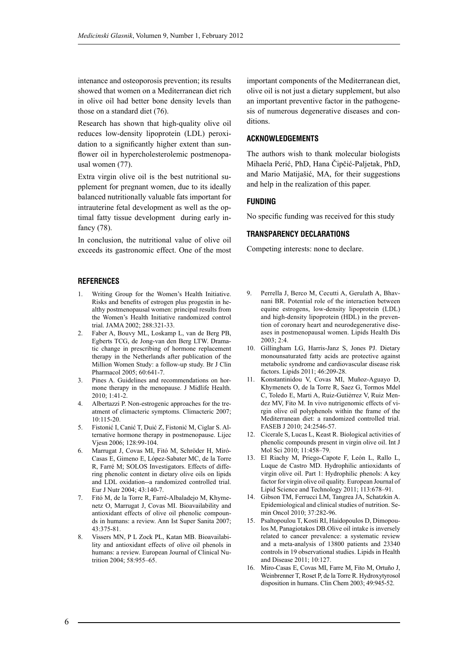intenance and osteoporosis prevention; its results showed that women on a Mediterranean diet rich in olive oil had better bone density levels than those on a standard diet (76).

Research has shown that high-quality olive oil reduces low-density lipoprotein (LDL) peroxidation to a significantly higher extent than sunflower oil in hypercholesterolemic postmenopausal women (77).

Extra virgin olive oil is the best nutritional supplement for pregnant women, due to its ideally balanced nutritionally valuable fats important for intrauterine fetal development as well as the optimal fatty tissue development during early infancy (78).

In conclusion, the nutritional value of olive oil exceeds its gastronomic effect. One of the most

### **REFERENCES**

- 1. Writing Group for the Women's Health Initiative. Risks and benefits of estrogen plus progestin in healthy postmenopausal women: principal results from the Women's Health Initiative randomized control trial. JAMA 2002; 288:321-33.
- 2. Faber A, Bouvy ML, Loskamp L, van de Berg PB, Egberts TCG, de Jong-van den Berg LTW. Dramatic change in prescribing of hormone replacement therapy in the Netherlands after publication of the Million Women Study: a follow-up study. Br J Clin Pharmacol 2005; 60:641-7.
- 3. Pines A. Guidelines and recommendations on hormone therapy in the menopause. J Midlife Health.  $2010:1:41-2$
- 4. Albertazzi P. Non-estrogenic approaches for the treatment of climacteric symptoms. Climacteric 2007; 10:115-20.
- 5. Fistonić I, Canić T, Duić Z, Fistonić M, Ciglar S. Alternative hormone therapy in postmenopause. Lijec Vjesn 2006; 128:99-104.
- 6. Marrugat J, Covas MI, Fitó M, Schröder H, Miró-Casas E, Gimeno E, López-Sabater MC, de la Torre R, Farré M; SOLOS Investigators. Effects of differing phenolic content in dietary olive oils on lipids and LDL oxidation--a randomized controlled trial. Eur J Nutr 2004; 43:140-7.
- 7. Fitó M, de la Torre R, Farré-Albaladejo M, Khymenetz O, Marrugat J, Covas MI. Bioavailability and antioxidant effects of olive oil phenolic compounds in humans: a review. Ann Ist Super Sanita 2007; 43:375-81.
- 8. Vissers MN, P L Zock PL, Katan MB. Bioavailability and antioxidant effects of olive oil phenols in humans: a review. European Journal of Clinical Nutrition 2004; 58:955–65.

important components of the Mediterranean diet, olive oil is not just a dietary supplement, but also an important preventive factor in the pathogenesis of numerous degenerative diseases and conditions.

#### **ACKNOWLEDGEMENTS**

The authors wish to thank molecular biologists Mihaela Perić, PhD, Hana Čipčić-Paljetak, PhD, and Mario Matijašić, MA, for their suggestions and help in the realization of this paper.

#### **FUNDING**

No specific funding was received for this study

#### **TRANSPARENCY DECLARATIONS**

Competing interests: none to declare.

- 9. Perrella J, Berco M, Cecutti A, Gerulath A, Bhavnani BR. Potential role of the interaction between equine estrogens, low-density lipoprotein (LDL) and high-density lipoprotein (HDL) in the prevention of coronary heart and neurodegenerative diseases in postmenopausal women. Lipids Health Dis 2003; 2:4.
- 10. Gillingham LG, Harris-Janz S, Jones PJ. Dietary monounsaturated fatty acids are protective against metabolic syndrome and cardiovascular disease risk factors. Lipids 2011; 46:209-28.
- 11. Konstantinidou V, Covas MI, Muñoz-Aguayo D, Khymenets O, de la Torre R, Saez G, Tormos Mdel C, Toledo E, Marti A, Ruiz-Gutiérrez V, Ruiz Mendez MV, Fito M. In vivo nutrigenomic effects of virgin olive oil polyphenols within the frame of the Mediterranean diet: a randomized controlled trial. FASEB J 2010; 24:2546-57.
- 12. Cicerale S, Lucas L, Keast R. Biological activities of phenolic compounds present in virgin olive oil. Int J Mol Sci 2010; 11:458–79.
- 13. El Riachy M, Priego-Capote F, León L, Rallo L, Luque de Castro MD. Hydrophilic antioxidants of virgin olive oil. Part 1: Hydrophilic phenols: A key factor for virgin olive oil quality. European Journal of Lipid Science and Technology 2011; 113:678–91.
- 14. Gibson TM, Ferrucci LM, Tangrea JA, Schatzkin A. Epidemiological and clinical studies of nutrition. Semin Oncol 2010; 37:282-96.
- 15. Psaltopoulou T, Kosti RI, Haidopoulos D, Dimopoulos M, Panagiotakos DB.Olive oil intake is inversely related to cancer prevalence: a systematic review and a meta-analysis of 13800 patients and 23340 controls in 19 observational studies. Lipids in Health and Disease 2011; 10:127.
- 16. Miro-Casas E, Covas MI, Farre M, Fito M, Ortuño J, Weinbrenner T, Roset P, de la Torre R. Hydroxytyrosol disposition in humans. Clin Chem 2003; 49:945-52.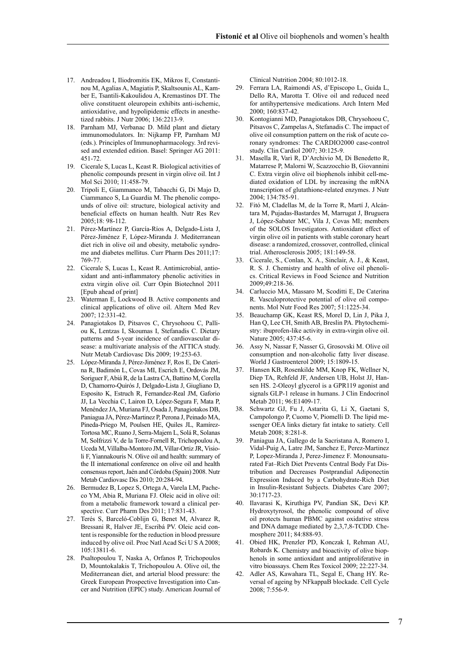- 17. Andreadou I, Iliodromitis EK, Mikros E, Constantinou M, Agalias A, Magiatis P, Skaltsounis AL, Kamber E, Tsantili-Kakoulidou A, Kremastinos DT. The olive constituent oleuropein exhibits anti-ischemic, antioxidative, and hypolipidemic effects in anesthetized rabbits. J Nutr 2006; 136:2213-9.
- 18. Parnham MJ, Verbanac D. Mild plant and dietary immunomodulators. In: Nijkamp FP, Parnham MJ (eds.). Principles of Immunopharmacology. 3rd revised and extended edition. Basel: Springer AG 2011: 451-72.
- 19. Cicerale S, Lucas L, Keast R. Biological activities of phenolic compounds present in virgin olive oil. Int J Mol Sci 2010; 11:458-79.
- 20. Tripoli E, Giammanco M, Tabacchi G, Di Majo D, Ciammanco S, La Guardia M. The phenolic compounds of olive oil: structure, biological activity and beneficial effects on human health. Nutr Res Rev 2005;18: 98-112.
- 21. Pérez-Martínez P, García-Ríos A, Delgado-Lista J, Pérez-Jiménez F, López-Miranda J. Mediterranean diet rich in olive oil and obesity, metabolic syndrome and diabetes mellitus. Curr Pharm Des 2011;17: 769-77.
- 22. Cicerale S, Lucas L, Keast R. Antimicrobial, antioxidant and anti-inflammatory phenolic activities in extra virgin olive oil. Curr Opin Biotechnol 2011 [Epub ahead of print]
- 23. Waterman E, Lockwood B. Active components and clinical applications of olive oil. Altern Med Rev 2007; 12:331-42.
- 24. Panagiotakos D, Pitsavos C, Chrysohoou C, Palliou K, Lentzas I, Skoumas I, Stefanadis C. Dietary patterns and 5-year incidence of cardiovascular disease: a multivariate analysis of the ATTICA study. Nutr Metab Cardiovasc Dis 2009; 19:253-63.
- 25. López-Miranda J, Pérez-Jiménez F, Ros E, De Caterina R, Badimón L, Covas MI, Escrich E, Ordovás JM, Soriguer F, Abiá R, de la Lastra CA, Battino M, Corella D, Chamorro-Quirós J, Delgado-Lista J, Giugliano D, Esposito K, Estruch R, Fernandez-Real JM, Gaforio JJ, La Vecchia C, Lairon D, López-Segura F, Mata P, Menéndez JA, Muriana FJ, Osada J, Panagiotakos DB, Paniagua JA, Pérez-Martinez P, Perona J, Peinado MA, Pineda-Priego M, Poulsen HE, Quiles JL, Ramírez-Tortosa MC, Ruano J, Serra-Majem L, Solá R, Solanas M, Solfrizzi V, de la Torre-Fornell R, Trichopoulou A, Uceda M, Villalba-Montoro JM, Villar-Ortiz JR, Visioli F, Yiannakouris N. Olive oil and health: summary of the II international conference on olive oil and health consensus report, Jaén and Córdoba (Spain) 2008. Nutr Metab Cardiovasc Dis 2010; 20:284-94.
- 26. Bermudez B, Lopez S, Ortega A, Varela LM, Pacheco YM, Abia R, Muriana FJ. Oleic acid in olive oil: from a metabolic framework toward a clinical perspective. Curr Pharm Des 2011; 17:831-43.
- 27. Terés S, Barceló-Coblijn G, Benet M, Alvarez R, Bressani R, Halver JE, Escribá PV. Oleic acid content is responsible for the reduction in blood pressure induced by olive oil. Proc Natl Acad Sci U S A 2008; 105:13811-6.
- 28. Psaltopoulou T, Naska A, Orfanos P, Trichopoulos D, Mountokalakis T, Trichopoulou A. Olive oil, the Mediterranean diet, and arterial blood pressure: the Greek European Prospective Investigation into Cancer and Nutrition (EPIC) study. American Journal of

Clinical Nutrition 2004; 80:1012-18.

- 29. Ferrara LA, Raimondi AS, d'Episcopo L, Guida L, Dello RA, Marotta T. Olive oil and reduced need for antihypertensive medications. Arch Intern Med 2000; 160:837-42.
- 30. Kontogianni MD, Panagiotakos DB, Chrysohoou C, Pitsavos C, Zampelas A, Stefanadis C. The impact of olive oil consumption pattern on the risk of acute coronary syndromes: The CARDIO2000 case-control study. Clin Cardiol 2007; 30:125-9.
- 31. Masella R, Varì R, D'Archivio M, Di Benedetto R, Matarrese P, Malorni W, Scazzocchio B, Giovannini C. Extra virgin olive oil biophenols inhibit cell-mediated oxidation of LDL by increasing the mRNA transcription of glutathione-related enzymes. J Nutr 2004; 134:785-91.
- 32. Fitó M, Cladellas M, de la Torre R, Martí J, Alcántara M, Pujadas-Bastardes M, Marrugat J, Bruguera J, López-Sabater MC, Vila J, Covas MI; members of the SOLOS Investigators. Antioxidant effect of virgin olive oil in patients with stable coronary heart disease: a randomized, crossover, controlled, clinical trial. Atherosclerosis 2005; 181:149-58.
- 33. Cicerale, S., Conlan, X. A., Sinclair, A. J., & Keast, R. S. J. Chemistry and health of olive oil phenolics. Critical Reviews in Food Science and Nutrition 2009;49:218-36.
- 34. Carluccio MA, Massaro M, Scoditti E, De Caterina R. Vasculoprotective potential of olive oil components. Mol Nutr Food Res 2007; 51:1225-34.
- 35. Beauchamp GK, Keast RS, Morel D, Lin J, Pika J, Han Q, Lee CH, Smith AB, Breslin PA. Phytochemistry: ibuprofen-like activity in extra-virgin olive oil. Nature 2005; 437:45-6.
- 36. Assy N, Nassar F, Nasser G, Grosovski M. Olive oil consumption and non-alcoholic fatty liver disease. World J Gastroenterol 2009; 15:1809-15.
- 37. Hansen KB, Rosenkilde MM, Knop FK, Wellner N, Diep TA, Rehfeld JF, Andersen UB, Holst JJ, Hansen HS. 2-Oleoyl glycerol is a GPR119 agonist and signals GLP-1 release in humans. J Clin Endocrinol Metab 2011; 96:E1409-17.
- 38. Schwartz GJ, Fu J, Astarita G, Li X, Gaetani S, Campolongo P, Cuomo V, Piomelli D. The lipid messenger OEA links dietary fat intake to satiety. Cell Metab 2008; 8:281-8.
- 39. Paniagua JA, Gallego de la Sacristana A, Romero I, Vidal-Puig A, Latre JM, Sanchez E, Perez-Martinez P, Lopez-Miranda J, Perez-Jimenez F. Monounsaturated Fat–Rich Diet Prevents Central Body Fat Distribution and Decreases Postprandial Adiponectin Expression Induced by a Carbohydrate-Rich Diet in Insulin-Resistant Subjects. Diabetes Care 2007; 30:1717-23.
- 40. Ilavarasi K, Kiruthiga PV, Pandian SK, Devi KP. Hydroxytyrosol, the phenolic compound of olive oil protects human PBMC against oxidative stress and DNA damage mediated by 2,3,7,8-TCDD. Chemosphere 2011; 84:888-93.
- 41. Obied HK, Prenzler PD, Konczak I, Rehman AU, Robards K. Chemistry and bioactivity of olive biophenols in some antioxidant and antiproliferative in vitro bioassays. Chem Res Toxicol 2009; 22:227-34.
- 42. Adler AS, Kawahara TL, Segal E, Chang HY. Reversal of ageing by NFkappaB blockade. Cell Cycle 2008; 7:556-9.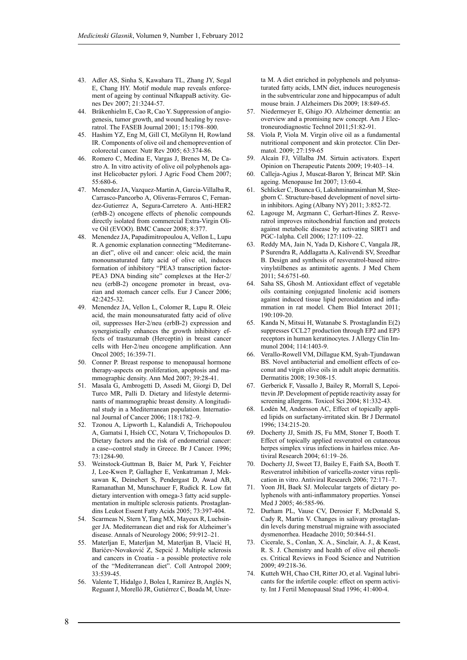- 43. Adler AS, Sinha S, Kawahara TL, Zhang JY, Segal E, Chang HY. Motif module map reveals enforcement of ageing by continual NfkappaB activity. Genes Dev 2007; 21:3244-57.
- 44. Bråkenhielm E, Cao R, Cao Y. Suppression of angiogenesis, tumor growth, and wound healing by resveratrol. The FASEB Journal 2001; 15:1798–800.
- 45. Hashim YZ, Eng M, Gill CI, McGlynn H, Rowland IR. Components of olive oil and chemoprevention of colorectal cancer. Nutr Rev 2005; 63:374-86.
- 46. Romero C, Medina E, Vargas J, Brenes M, De Castro A. In vitro activity of olive oil polyphenols against Helicobacter pylori. J Agric Food Chem 2007; 55:680-6.
- 47. Menendez JA, Vazquez-Martin A, Garcia-Villalba R, Carrasco-Pancorbo A, Oliveras-Ferraros C, Fernandez-Gutierrez A, Segura-Carretero A. Anti-HER2 (erbB-2) oncogene effects of phenolic compounds directly isolated from commercial Extra-Virgin Olive Oil (EVOO). BMC Cancer 2008; 8:377.
- 48. Menendez JA, Papadimitropoulou A, Vellon L, Lupu R. A genomic explanation connecting "Mediterranean diet", olive oil and cancer: oleic acid, the main monounsaturated fatty acid of olive oil, induces formation of inhibitory "PEA3 transcription factor-PEA3 DNA binding site" complexes at the Her-2/ neu (erbB-2) oncogene promoter in breast, ovarian and stomach cancer cells. Eur J Cancer 2006; 42:2425-32.
- 49. Menendez JA, Vellon L, Colomer R, Lupu R. Oleic acid, the main monounsaturated fatty acid of olive oil, suppresses Her-2/neu (erbB-2) expression and synergistically enhances the growth inhibitory effects of trastuzumab (Herceptin) in breast cancer cells with Her-2/neu oncogene amplification. Ann Oncol 2005; 16:359-71.
- 50. Conner P. Breast response to menopausal hormone therapy-aspects on proliferation, apoptosis and mammographic density. Ann Med 2007; 39:28-41.
- 51. Masala G, Ambrogetti D, Assedi M, Giorgi D, Del Turco MR, Palli D. Dietary and lifestyle determinants of mammographic breast density. A longitudinal study in a Mediterranean population. International Journal of Cancer 2006; 118:1782–9.
- 52. Tzonou A, Lipworth L, Kalandidi A, Trichopoulou A, Gamatsi I, Hsieh CC, Notara V, Trichopoulos D. Dietary factors and the risk of endometrial cancer: a case--control study in Greece. Br J Cancer. 1996; 73:1284-90.
- 53. Weinstock-Guttman B, Baier M, Park Y, Feichter J, Lee-Kwen P, Gallagher E, Venkatraman J, Meksawan K, Deinehert S, Pendergast D, Awad AB, Ramanathan M, Munschauer F, Rudick R. Low fat dietary intervention with omega-3 fatty acid supplementation in multiple sclerosis patients. Prostaglandins Leukot Essent Fatty Acids 2005; 73:397-404.
- 54. Scarmeas N, Stern Y, Tang MX, Mayeux R, Luchsinger JA. Mediterranean diet and risk for Alzheimer's disease. Annals of Neurology 2006; 59:912–21.
- 55. Materljan E, Materljan M, Materljan B, Vlacić H, Barićev-Novaković Z, Sepcić J. Multiple sclerosis and cancers in Croatia - a possible protective role of the "Mediterranean diet". Coll Antropol 2009; 33:539-45.
- 56. Valente T, Hidalgo J, Bolea I, Ramirez B, Anglés N, Reguant J, Morelló JR, Gutiérrez C, Boada M, Unze-

ta M. A diet enriched in polyphenols and polyunsaturated fatty acids, LMN diet, induces neurogenesis in the subventricular zone and hippocampus of adult mouse brain. J Alzheimers Dis 2009; 18:849-65.

- 57. Niedermeyer E, Ghigo JO. Alzheimer dementia: an overview and a promising new concept. Am J Electroneurodiagnostic Technol 2011;51:82-91.
- 58. Viola P, Viola M. Virgin olive oil as a fundamental nutritional component and skin protector. Clin Dermatol. 2009; 27:159-65
- 59. Alcaín FJ, Villalba JM. Sirtuin activators. Expert Opinion on Therapeutic Patents 2009; 19:403–14.
- 60. Calleja-Agius J, Muscat-Baron Y, Brincat MP. Skin ageing. Menopause Int 2007; 13:60-4.
- 61. Schlicker C, Boanca G, Lakshminarasimhan M, Steegborn C. Structure-based development of novel sirtuin inhibitors. Aging (Albany NY) 2011; 3:852-72.
- 62. Lagouge M, Argmann C, Gerhart-Hines Z. Resveratrol improves mitochondrial function and protects against metabolic disease by activating SIRT1 and PGC-1alpha. Cell 2006; 127:1109–22.
- 63. Reddy MA, Jain N, Yada D, Kishore C, Vangala JR, P Surendra R, Addlagatta A, Kalivendi SV, Sreedhar B. Design and synthesis of resveratrol-based nitrovinylstilbenes as antimitotic agents. J Med Chem 2011; 54:6751-60.
- Saha SS, Ghosh M. Antioxidant effect of vegetable oils containing conjugated linolenic acid isomers against induced tissue lipid peroxidation and inflammation in rat model. Chem Biol Interact 2011; 190:109-20.
- 65. Kanda N, Mitsui H, Watanabe S. Prostaglandin E(2) suppresses CCL27 production through EP2 and EP3 receptors in human keratinocytes. J Allergy Clin Immunol 2004; 114:1403-9.
- 66. Verallo-Rowell VM, Dillague KM, Syah-Tjundawan BS. Novel antibacterial and emollient effects of coconut and virgin olive oils in adult atopic dermatitis. Dermatitis 2008; 19:308-15.
- 67. Gerberick F, Vassallo J, Bailey R, Morrall S, Lepoittevin JP. Development of peptide reactivity assay for screening allergens. Toxicol Sci 2004; 81:332-43.
- Lodén M, Andersson AC, Effect of topically applied lipids on surfactany-irritated skin. Br J Dermatol 1996; 134:215-20.
- 69. Docherty JJ, Smith JS, Fu MM, Stoner T, Booth T. Effect of topically applied resveratrol on cutaneous herpes simplex virus infections in hairless mice. Antiviral Research 2004; 61:19–26.
- 70. Docherty JJ, Sweet TJ, Bailey E, Faith SA, Booth T. Resveratrol inhibition of varicella-zoster virus replication in vitro. Antiviral Research 2006; 72:171–7.
- 71. Yoon JH, Baek SJ. Molecular targets of dietary polyphenols with anti-inflammatory properties. Yonsei Med J 2005; 46:585-96.
- 72. Durham PL, Vause CV, Derosier F, McDonald S, Cady R, Martin V. Changes in salivary prostaglandin levels during menstrual migraine with associated dysmenorrhea. Headache 2010; 50:844-51.
- 73. Cicerale, S., Conlan, X. A., Sinclair, A. J., & Keast, R. S. J. Chemistry and health of olive oil phenolics. Critical Reviews in Food Science and Nutrition  $2009 \cdot 49 \cdot 218 - 36$
- 74. Kutteh WH, Chao CH, Ritter JO, et al. Vaginal lubricants for the infertile couple: effect on sperm activity. Int J Fertil Menopausal Stud 1996; 41:400-4.